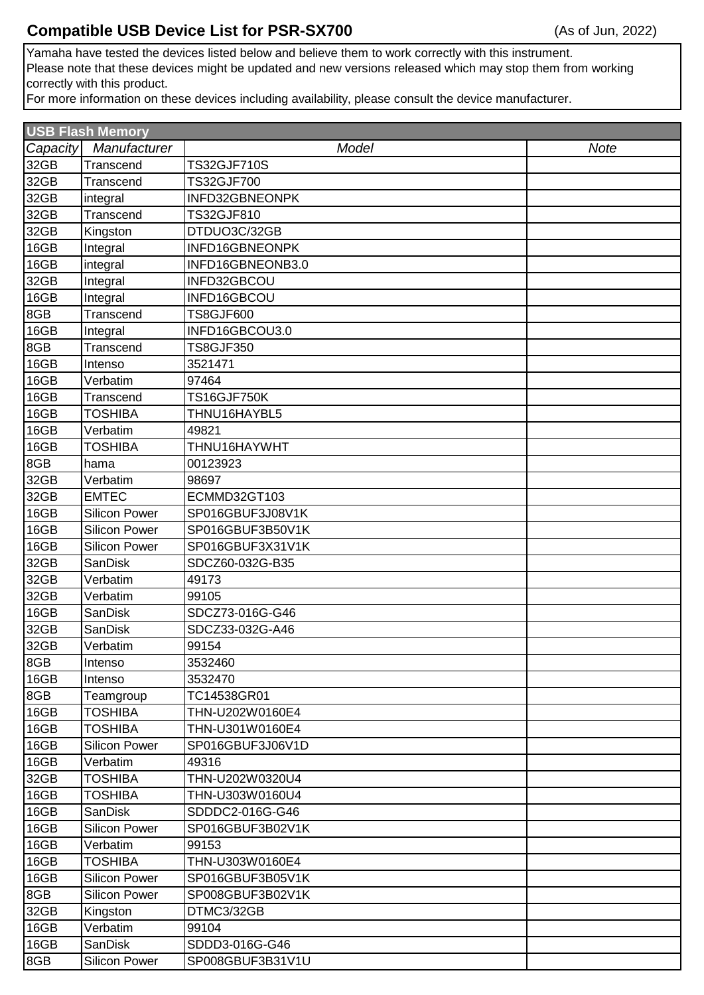## **Compatible USB Device List for PSR-SX700**

Yamaha have tested the devices listed below and believe them to work correctly with this instrument. Please note that these devices might be updated and new versions released which may stop them from working correctly with this product.

For more information on these devices including availability, please consult the device manufacturer.

| <b>USB Flash Memory</b> |                      |                    |             |  |
|-------------------------|----------------------|--------------------|-------------|--|
| Capacity                | Manufacturer         | Model              | <b>Note</b> |  |
| 32GB                    | Transcend            | <b>TS32GJF710S</b> |             |  |
| 32GB                    | Transcend            | TS32GJF700         |             |  |
| 32GB                    | integral             | INFD32GBNEONPK     |             |  |
| 32GB                    | Transcend            | TS32GJF810         |             |  |
| 32GB                    | Kingston             | DTDUO3C/32GB       |             |  |
| 16GB                    | Integral             | INFD16GBNEONPK     |             |  |
| 16GB                    | integral             | INFD16GBNEONB3.0   |             |  |
| 32GB                    | Integral             | INFD32GBCOU        |             |  |
| 16GB                    | Integral             | INFD16GBCOU        |             |  |
| 8GB                     | Transcend            | <b>TS8GJF600</b>   |             |  |
| 16GB                    | Integral             | INFD16GBCOU3.0     |             |  |
| 8GB                     | Transcend            | <b>TS8GJF350</b>   |             |  |
| 16GB                    | Intenso              | 3521471            |             |  |
| 16GB                    | Verbatim             | 97464              |             |  |
| 16GB                    | Transcend            | <b>TS16GJF750K</b> |             |  |
| 16GB                    | <b>TOSHIBA</b>       | THNU16HAYBL5       |             |  |
| 16GB                    | Verbatim             | 49821              |             |  |
| 16GB                    | TOSHIBA              | THNU16HAYWHT       |             |  |
| 8GB                     | hama                 | 00123923           |             |  |
| 32GB                    | Verbatim             | 98697              |             |  |
| 32GB                    | <b>EMTEC</b>         | ECMMD32GT103       |             |  |
| 16GB                    | <b>Silicon Power</b> | SP016GBUF3J08V1K   |             |  |
| 16GB                    | <b>Silicon Power</b> | SP016GBUF3B50V1K   |             |  |
| 16GB                    | <b>Silicon Power</b> | SP016GBUF3X31V1K   |             |  |
| 32GB                    | <b>SanDisk</b>       | SDCZ60-032G-B35    |             |  |
| 32GB                    | Verbatim             | 49173              |             |  |
| 32GB                    | Verbatim             | 99105              |             |  |
| 16GB                    | <b>SanDisk</b>       | SDCZ73-016G-G46    |             |  |
| 32GB                    | <b>SanDisk</b>       | SDCZ33-032G-A46    |             |  |
| 32GB                    | Verbatim             | 99154              |             |  |
| 8GB                     | Intenso              | 3532460            |             |  |
| 16GB                    | Intenso              | 3532470            |             |  |
| 8GB                     | Teamgroup            | TC14538GR01        |             |  |
| 16GB                    | <b>TOSHIBA</b>       | THN-U202W0160E4    |             |  |
| 16GB                    | <b>TOSHIBA</b>       | THN-U301W0160E4    |             |  |
| 16GB                    | <b>Silicon Power</b> | SP016GBUF3J06V1D   |             |  |
| 16GB                    | Verbatim             | 49316              |             |  |
| 32GB                    | <b>TOSHIBA</b>       | THN-U202W0320U4    |             |  |
| 16GB                    | <b>TOSHIBA</b>       | THN-U303W0160U4    |             |  |
| 16GB                    | <b>SanDisk</b>       | SDDDC2-016G-G46    |             |  |
| 16GB                    | <b>Silicon Power</b> | SP016GBUF3B02V1K   |             |  |
| 16GB                    | Verbatim             | 99153              |             |  |
| 16GB                    | <b>TOSHIBA</b>       | THN-U303W0160E4    |             |  |
| 16GB                    | <b>Silicon Power</b> | SP016GBUF3B05V1K   |             |  |
| 8GB                     | Silicon Power        | SP008GBUF3B02V1K   |             |  |
| 32GB                    | Kingston             | DTMC3/32GB         |             |  |
| 16GB                    | Verbatim             | 99104              |             |  |
| 16GB                    | <b>SanDisk</b>       | SDDD3-016G-G46     |             |  |
| 8GB                     | <b>Silicon Power</b> | SP008GBUF3B31V1U   |             |  |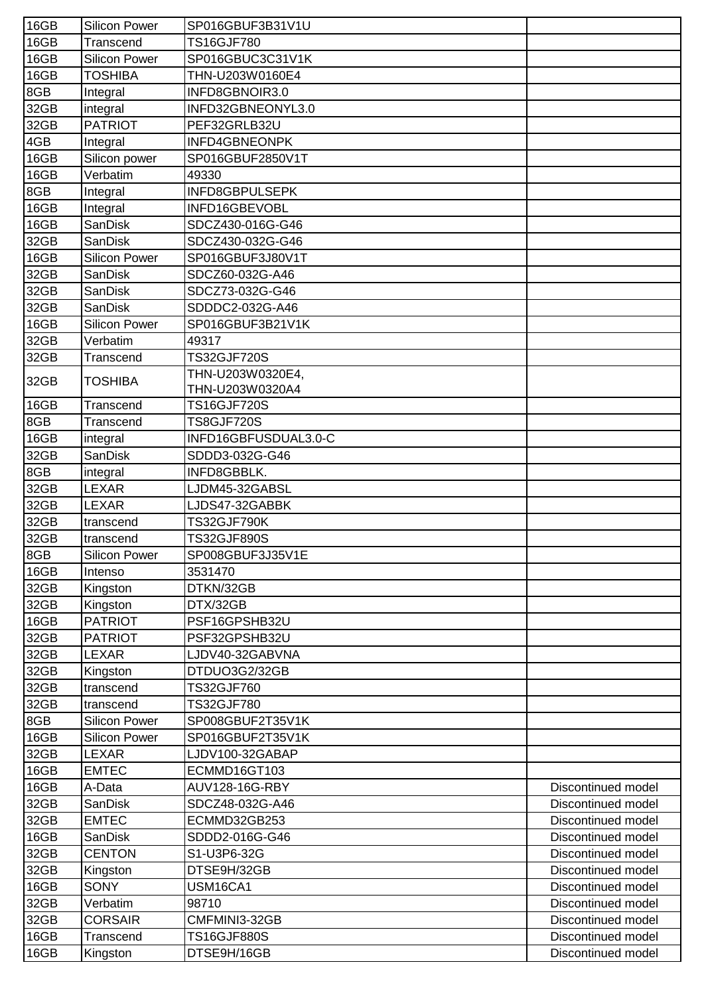| 16GB | <b>Silicon Power</b> | SP016GBUF3B31V1U      |                    |
|------|----------------------|-----------------------|--------------------|
| 16GB | Transcend            | <b>TS16GJF780</b>     |                    |
| 16GB | <b>Silicon Power</b> | SP016GBUC3C31V1K      |                    |
| 16GB | <b>TOSHIBA</b>       | THN-U203W0160E4       |                    |
| 8GB  | Integral             | INFD8GBNOIR3.0        |                    |
| 32GB | integral             | INFD32GBNEONYL3.0     |                    |
| 32GB | <b>PATRIOT</b>       | PEF32GRLB32U          |                    |
| 4GB  | Integral             | INFD4GBNEONPK         |                    |
| 16GB | Silicon power        | SP016GBUF2850V1T      |                    |
| 16GB | Verbatim             | 49330                 |                    |
| 8GB  | Integral             | INFD8GBPULSEPK        |                    |
| 16GB | Integral             | INFD16GBEVOBL         |                    |
| 16GB | <b>SanDisk</b>       | SDCZ430-016G-G46      |                    |
| 32GB | <b>SanDisk</b>       | SDCZ430-032G-G46      |                    |
| 16GB | <b>Silicon Power</b> | SP016GBUF3J80V1T      |                    |
| 32GB | SanDisk              | SDCZ60-032G-A46       |                    |
| 32GB | <b>SanDisk</b>       | SDCZ73-032G-G46       |                    |
| 32GB | <b>SanDisk</b>       | SDDDC2-032G-A46       |                    |
| 16GB | <b>Silicon Power</b> | SP016GBUF3B21V1K      |                    |
| 32GB | Verbatim             | 49317                 |                    |
| 32GB | Transcend            | <b>TS32GJF720S</b>    |                    |
|      |                      | THN-U203W0320E4,      |                    |
| 32GB | TOSHIBA              | THN-U203W0320A4       |                    |
| 16GB | Transcend            | <b>TS16GJF720S</b>    |                    |
| 8GB  | Transcend            | <b>TS8GJF720S</b>     |                    |
| 16GB | integral             | INFD16GBFUSDUAL3.0-C  |                    |
| 32GB | <b>SanDisk</b>       | SDDD3-032G-G46        |                    |
| 8GB  | integral             | INFD8GBBLK.           |                    |
| 32GB | <b>LEXAR</b>         | LJDM45-32GABSL        |                    |
| 32GB | <b>LEXAR</b>         | LJDS47-32GABBK        |                    |
| 32GB | transcend            | TS32GJF790K           |                    |
| 32GB | transcend            | TS32GJF890S           |                    |
| 8GB  | <b>Silicon Power</b> | SP008GBUF3J35V1E      |                    |
| 16GB | Intenso              | 3531470               |                    |
| 32GB | Kingston             | DTKN/32GB             |                    |
| 32GB | Kingston             | DTX/32GB              |                    |
| 16GB | <b>PATRIOT</b>       | PSF16GPSHB32U         |                    |
| 32GB | <b>PATRIOT</b>       | PSF32GPSHB32U         |                    |
| 32GB | LEXAR                | LJDV40-32GABVNA       |                    |
| 32GB | Kingston             | DTDUO3G2/32GB         |                    |
| 32GB | transcend            | TS32GJF760            |                    |
| 32GB | transcend            | TS32GJF780            |                    |
| 8GB  | <b>Silicon Power</b> | SP008GBUF2T35V1K      |                    |
| 16GB | <b>Silicon Power</b> | SP016GBUF2T35V1K      |                    |
| 32GB | <b>LEXAR</b>         | LJDV100-32GABAP       |                    |
| 16GB | <b>EMTEC</b>         | ECMMD16GT103          |                    |
| 16GB | A-Data               | <b>AUV128-16G-RBY</b> | Discontinued model |
| 32GB | <b>SanDisk</b>       | SDCZ48-032G-A46       | Discontinued model |
| 32GB | <b>EMTEC</b>         | ECMMD32GB253          | Discontinued model |
| 16GB | <b>SanDisk</b>       | SDDD2-016G-G46        | Discontinued model |
| 32GB | <b>CENTON</b>        | S1-U3P6-32G           | Discontinued model |
| 32GB | Kingston             | DTSE9H/32GB           | Discontinued model |
| 16GB | <b>SONY</b>          | USM16CA1              | Discontinued model |
| 32GB | Verbatim             | 98710                 | Discontinued model |
| 32GB | CORSAIR              | CMFMINI3-32GB         | Discontinued model |
| 16GB | Transcend            | <b>TS16GJF880S</b>    | Discontinued model |
| 16GB | Kingston             | DTSE9H/16GB           | Discontinued model |